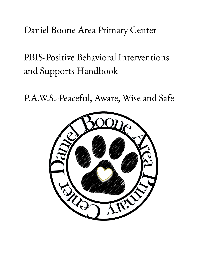# Daniel Boone Area Primary Center

PBIS-Positive Behavioral Interventions and Supports Handbook

P.A.W.S.-Peaceful, Aware, Wise and Safe

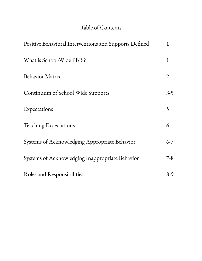#### Table of Contents

| Positive Behavioral Interventions and Supports Defined | $\mathbf{1}$   |
|--------------------------------------------------------|----------------|
| What is School-Wide PBIS?                              | 1              |
| <b>Behavior Matrix</b>                                 | $\overline{2}$ |
| Continuum of School Wide Supports                      | $3-5$          |
| Expectations                                           | 5              |
| Teaching Expectations                                  | 6              |
| Systems of Acknowledging Appropriate Behavior          | $6 - 7$        |
| Systems of Acknowledging Inappropriate Behavior        | $7 - 8$        |
| Roles and Responsibilities                             | $8-9$          |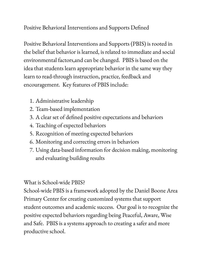## Positive Behavioral Interventions and Supports Defined

Positive Behavioral Interventions and Supports (PBIS) is rooted in the belief that behavior is learned, is related to immediate and social environmental factors,and can be changed. PBIS is based on the idea that students learn appropriate behavior in the same way they learn to read-through instruction, practice, feedback and encouragement. Key features of PBIS include:

- 1. Administrative leadership
- 2. Team-based implementation
- 3. A clear set of defined positive expectations and behaviors
- 4. Teaching of expected behaviors
- 5. Recognition of meeting expected behaviors
- 6. Monitoring and correcting errors in behaviors
- 7. Using data-based information for decision making, monitoring and evaluating building results

#### What is School-wide PBIS?

School-wide PBIS is a framework adopted by the Daniel Boone Area Primary Center for creating customized systems that support student outcomes and academic success. Our goal is to recognize the positive expected behaviors regarding being Peaceful, Aware, Wise and Safe. PBIS is a systems approach to creating a safer and more productive school.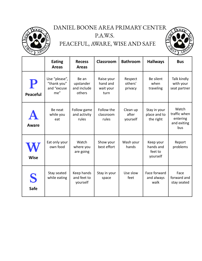#### DANIEL BOONE AREA PRIMARY CENTER P.A.W.S.

# PEACEFUL, AWARE, WISE AND SAFE



|                      | <b>Eating</b><br><b>Areas</b>                      | <b>Recess</b><br><b>Areas</b>               | Classroom                                   | <b>Bathroom</b>               | <b>Hallways</b>                               | <b>Bus</b>                                              |
|----------------------|----------------------------------------------------|---------------------------------------------|---------------------------------------------|-------------------------------|-----------------------------------------------|---------------------------------------------------------|
| P<br><b>Peaceful</b> | Use "please",<br>"thank you"<br>and "excuse<br>me" | Be an<br>upstander<br>and include<br>others | Raise your<br>hand and<br>wait your<br>turn | Respect<br>others'<br>privacy | Be silent<br>when<br>traveling                | Talk kindly<br>with your<br>seat partner                |
| Aware                | Be neat<br>while you<br>eat                        | Follow game<br>and activity<br>rules        | Follow the<br>classroom<br>rules            | Clean up<br>after<br>yourself | Stay in your<br>place and to<br>the right     | Watch<br>traffic when<br>entering<br>and exiting<br>bus |
| <b>Wise</b>          | Eat only your<br>own food                          | Watch<br>where you<br>are going             | Show your<br>best effort                    | Wash your<br>hands            | Keep your<br>hands and<br>feet to<br>yourself | Report<br>problems                                      |
| S<br><b>Safe</b>     | Stay seated<br>while eating                        | Keep hands<br>and feet to<br>yourself       | Stay in your<br>space                       | Use slow<br>feet              | Face forward<br>and always<br>walk            | Face<br>forward and<br>stay seated                      |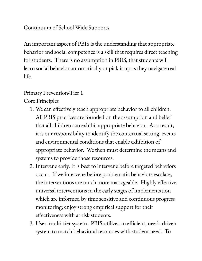### Continuum of School Wide Supports

An important aspect of PBIS is the understanding that appropriate behavior and social competence is a skill that requires direct teaching for students. There is no assumption in PBIS, that students will learn social behavior automatically or pick it up as they navigate real life.

#### Primary Prevention-Tier 1

Core Principles

- 1. We can effectively teach appropriate behavior to all children. All PBIS practices are founded on the assumption and belief that all children can exhibit appropriate behavior. As a result, it is our responsibility to identify the contextual setting, events and environmental conditions that enable exhibition of appropriate behavior. We then must determine the means and systems to provide those resources.
- 2. Intervene early. It is best to intervene before targeted behaviors occur. If we intervene before problematic behaviors escalate, the interventions are much more manageable. Highly effective, universal interventions in the early stages of implementation which are informed by time sensitive and continuous progress monitoring; enjoy strong empirical support for their effectiveness with at risk students.
- 3. Use a multi-tier system. PBIS utilizes an efficient, needs-driven system to match behavioral resources with student need. To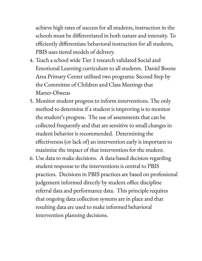achieve high rates of success for all students, instruction in the schools must be differentiated in both nature and intensity. To efficiently differentiate behavioral instruction for all students, PBIS uses tiered models of delivery.

- 4. Teach a school wide Tier 1 research validated Social and Emotional Learning curriculum to all students. Daniel Boone Area Primary Center utilized two programs: Second Step by the Committee of Children and Class Meetings that Matter-Olweus
- 5. Monitor student progress to inform interventions. The only method to determine if a student is improving is to monitor the student' s progress. The use of assessments that can be collected frequently and that are sensitive to small changes in student behavior is recommended. Determining the effectiveness (or lack of) an intervention early is important to maximize the impact of that intervention for the student.
- 6. Use data to make decisions. A data-based decision regarding student response to the interventions is central to PBIS practices. Decisions in PBIS practices are based on professional judgement informed directly by student office discipline referral data and performance data. This principle requires that ongoing data collection systems are in place and that resulting data are used to make informed behavioral intervention planning decisions.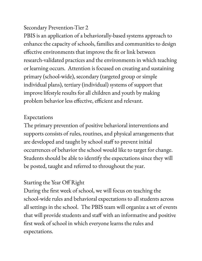#### Secondary Prevention-Tier 2

PBIS is an application of a behaviorally-based systems approach to enhance the capacity of schools, families and communities to design effective environments that improve the fit or link between research-validated practices and the environments in which teaching or learning occurs. Attention is focused on creating and sustaining primary (school-wide), secondary (targeted group or simple individual plans), tertiary (individual) systems of support that improve lifestyle results for all children and youth by making problem behavior less effective, efficient and relevant.

#### Expectations

The primary prevention of positive behavioral interventions and supports consists of rules, routines, and physical arrangements that are developed and taught by school staff to prevent initial occurrences of behavior the school would like to target for change. Students should be able to identify the expectations since they will be posted, taught and referred to throughout the year.

# Starting the Year Off Right

During the first week of school, we will focus on teaching the school-wide rules and behavioral expectations to all students across all settings in the school. The PBIS team will organize a set of events that will provide students and staff with an informative and positive first week of school in which everyone learns the rules and expectations.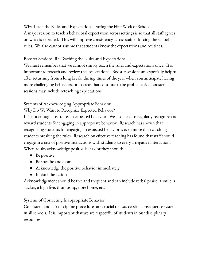Why Teach the Rules and Expectations During the First Week of School A major reason to teach a behavioral expectation across settings is so that all staff agrees on what is expected. This will improve consistency across staff enforcing the school rules. We also cannot assume that students know the expectations and routines.

#### Booster Sessions: Re-Teaching the Rules and Expectations

We must remember that we cannot simply teach the rules and expectations once. It is important to reteach and review the expectations. Booster sessions are especially helpful after returning from a long break, during times of the year when you anticipate having more challenging behaviors, or in areas that continue to be problematic. Booster sessions may include reteaching expectations.

#### Systems of Acknowledging Appropriate Behavior

Why Do We Want to Recognize Expected Behavior?

It is not enough just to teach expected behavior. We also need to regularly recognize and reward students for engaging in appropriate behavior. Research has shown that recognizing students for engaging in expected behavior is even more than catching students breaking the rules. Research on effective teaching has found that staff should engage in a rate of positive interactions with students to every 1 negative interaction. When adults acknowledge positive behavior they should:

- Be positive
- Be specific and clear
- Acknowledge the positive behavior immediately
- Initiate the action

Acknowledgement should be free and frequent and can include verbal praise, a smile, a sticker, a high five, thumbs up, note home, etc.

#### Systems of Correcting Inappropriate Behavior

Consistent and fair discipline procedures are crucial to a successful consequence system in all schools. It is important that we are respectful of students in our disciplinary responses.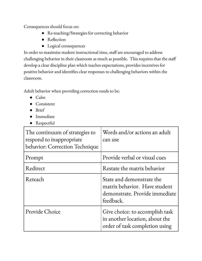Consequences should focus on:

- Re-teaching/Strategies for correcting behavior
- Reflection
- Logical consequences

In order to maximize student instructional time, staff are encouraged to address challenging behavior in their classroom as much as possible. This requires that the staff develop a clear discipline plan which teaches expectations, provides incentives for positive behavior and identifies clear responses to challenging behaviors within the classroom.

Adult behavior when providing correction needs to be:

- Calm
- Consistent
- Brief
- Immediate
- Respectful

| The continuum of strategies to<br>respond to inappropriate<br>behavior: Correction Technique | Words and/or actions an adult<br>can use                                                                  |
|----------------------------------------------------------------------------------------------|-----------------------------------------------------------------------------------------------------------|
| Prompt                                                                                       | Provide verbal or visual cues                                                                             |
| Redirect                                                                                     | Restate the matrix behavior                                                                               |
| Reteach                                                                                      | State and demonstrate the<br>matrix behavior. Have student<br>demonstrate. Provide immediate<br>feedback. |
| Provide Choice                                                                               | Give choice: to accomplish task<br>in another location, about the<br>order of task completion using       |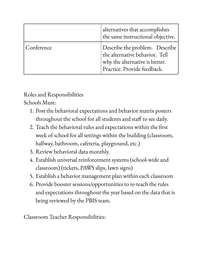|            | alternatives that accomplishes<br>the same instructional objective.                                                               |
|------------|-----------------------------------------------------------------------------------------------------------------------------------|
| Conference | Describe the problem. Describe<br>the alternative behavior. Tell<br>why the alternative is better.<br>Practice. Provide feedback. |

Roles and Responsibilities

Schools Must:

- 1. Post the behavioral expectations and behavior matrix posters throughout the school for all students and staff to see daily.
- 2. Teach the behavioral rules and expectations within the first week of school for all settings within the building (classroom, hallway, bathroom, cafeteria, playground, etc.)
- 3. Review behavioral data monthly.
- 4. Establish universal reinforcement systems (school-wide and classroom) (tickets, PAWS slips, lawn signs)
- 5. Establish a behavior management plan within each classroom
- 6. Provide booster sessions/opportunities to re-teach the rules and expectations throughout the year based on the data that is being reviewed by the PBIS team.

Classroom Teacher Responsibilities: